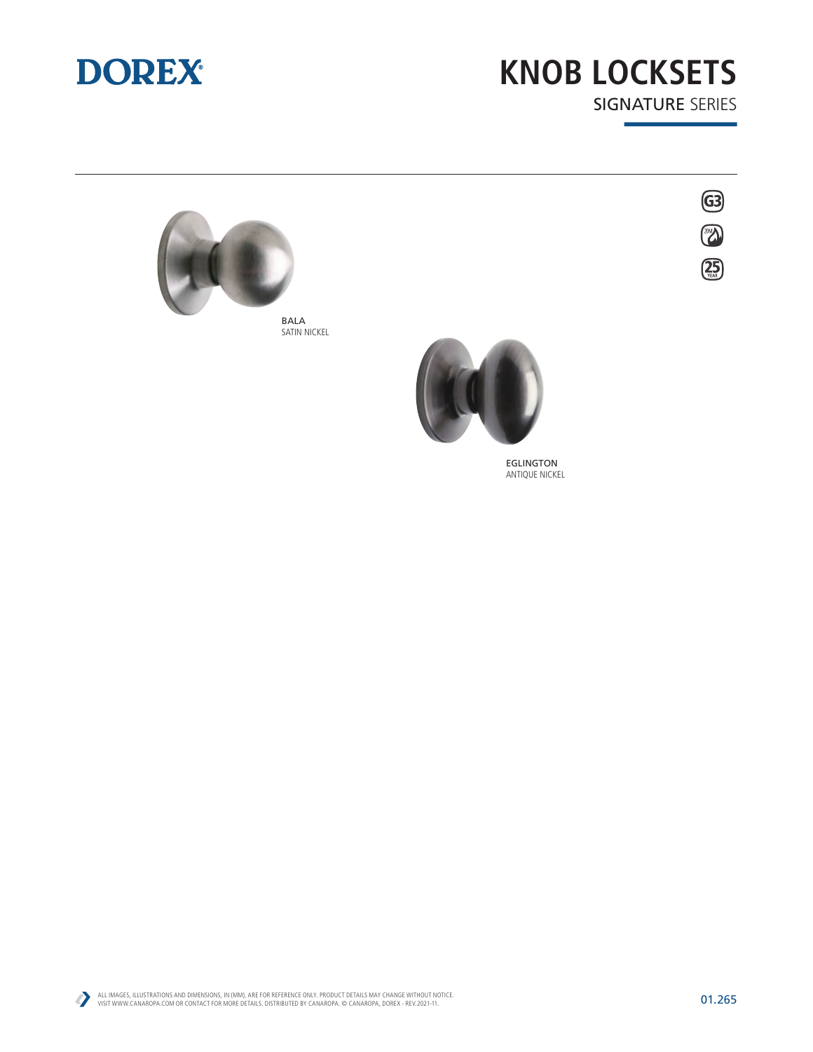

## **KNOB LOCKSETS** SIGNATURE SERIES

63

 $\left(\frac{25}{200}\right)$ 



BALA SATIN NICKEL



EGLINGTON ANTIQUE NICKEL